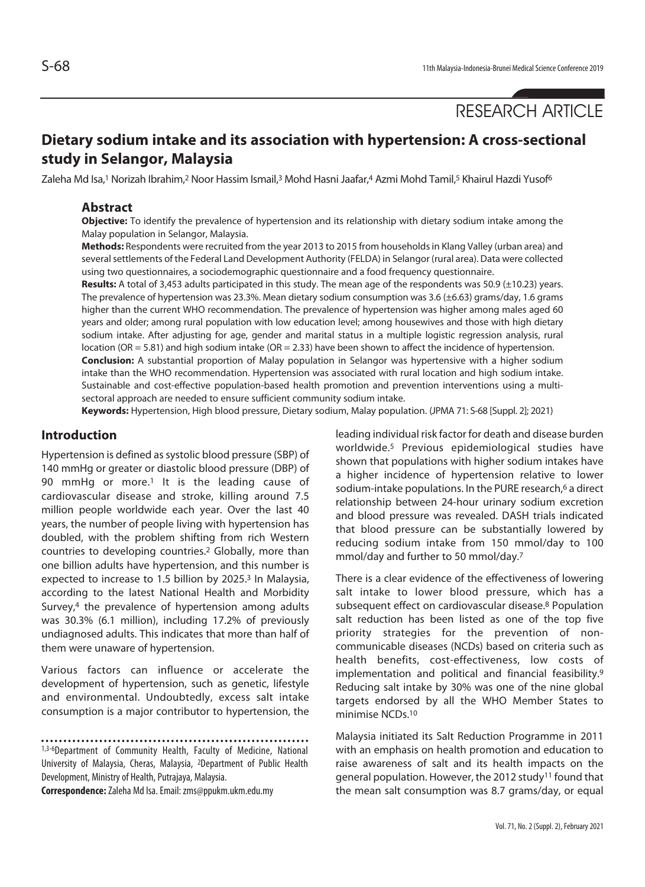# **Dietary sodium intake and its association with hypertension: A cross-sectional study in Selangor, Malaysia**

Zaleha Md Isa,1 Norizah Ibrahim,2 Noor Hassim Ismail,3 Mohd Hasni Jaafar,4 Azmi Mohd Tamil,5 Khairul Hazdi Yusof6

#### **Abstract**

**Objective:** To identify the prevalence of hypertension and its relationship with dietary sodium intake among the Malay population in Selangor, Malaysia.

**Methods:** Respondents were recruited from the year 2013 to 2015 from households in Klang Valley (urban area) and several settlements of the Federal Land Development Authority (FELDA) in Selangor (rural area). Data were collected using two questionnaires, a sociodemographic questionnaire and a food frequency questionnaire.

**Results:** A total of 3,453 adults participated in this study. The mean age of the respondents was 50.9 (±10.23) years. The prevalence of hypertension was 23.3%. Mean dietary sodium consumption was 3.6 (±6.63) grams/day, 1.6 grams higher than the current WHO recommendation. The prevalence of hypertension was higher among males aged 60 years and older; among rural population with low education level; among housewives and those with high dietary sodium intake. After adjusting for age, gender and marital status in a multiple logistic regression analysis, rural location (OR = 5.81) and high sodium intake (OR = 2.33) have been shown to affect the incidence of hypertension. **Conclusion:** A substantial proportion of Malay population in Selangor was hypertensive with a higher sodium intake than the WHO recommendation. Hypertension was associated with rural location and high sodium intake. Sustainable and cost-effective population-based health promotion and prevention interventions using a multisectoral approach are needed to ensure sufficient community sodium intake.

**Keywords:** Hypertension, High blood pressure, Dietary sodium, Malay population. (JPMA 71: S-68 [Suppl. 2]; 2021)

#### **Introduction**

Hypertension is defined as systolic blood pressure (SBP) of 140 mmHg or greater or diastolic blood pressure (DBP) of 90 mmHg or more.<sup>1</sup> It is the leading cause of cardiovascular disease and stroke, killing around 7.5 million people worldwide each year. Over the last 40 years, the number of people living with hypertension has doubled, with the problem shifting from rich Western countries to developing countries.2 Globally, more than one billion adults have hypertension, and this number is expected to increase to 1.5 billion by 2025.<sup>3</sup> In Malaysia, according to the latest National Health and Morbidity Survey,<sup>4</sup> the prevalence of hypertension among adults was 30.3% (6.1 million), including 17.2% of previously undiagnosed adults. This indicates that more than half of them were unaware of hypertension.

Various factors can influence or accelerate the development of hypertension, such as genetic, lifestyle and environmental. Undoubtedly, excess salt intake consumption is a major contributor to hypertension, the

1,3-6Department of Community Health, Faculty of Medicine, National University of Malaysia, Cheras, Malaysia, 2Department of Public Health Development, Ministry of Health, Putrajaya, Malaysia.

**Correspondence:** Zaleha Md Isa. Email: zms@ppukm.ukm.edu.my

leading individual risk factor for death and disease burden worldwide.5 Previous epidemiological studies have shown that populations with higher sodium intakes have a higher incidence of hypertension relative to lower sodium-intake populations. In the PURE research,<sup>6</sup> a direct relationship between 24-hour urinary sodium excretion and blood pressure was revealed. DASH trials indicated that blood pressure can be substantially lowered by reducing sodium intake from 150 mmol/day to 100 mmol/day and further to 50 mmol/day.7

There is a clear evidence of the effectiveness of lowering salt intake to lower blood pressure, which has a subsequent effect on cardiovascular disease.8 Population salt reduction has been listed as one of the top five priority strategies for the prevention of noncommunicable diseases (NCDs) based on criteria such as health benefits, cost-effectiveness, low costs of implementation and political and financial feasibility.9 Reducing salt intake by 30% was one of the nine global targets endorsed by all the WHO Member States to minimise NCDs.10

Malaysia initiated its Salt Reduction Programme in 2011 with an emphasis on health promotion and education to raise awareness of salt and its health impacts on the general population. However, the 2012 study<sup>11</sup> found that the mean salt consumption was 8.7 grams/day, or equal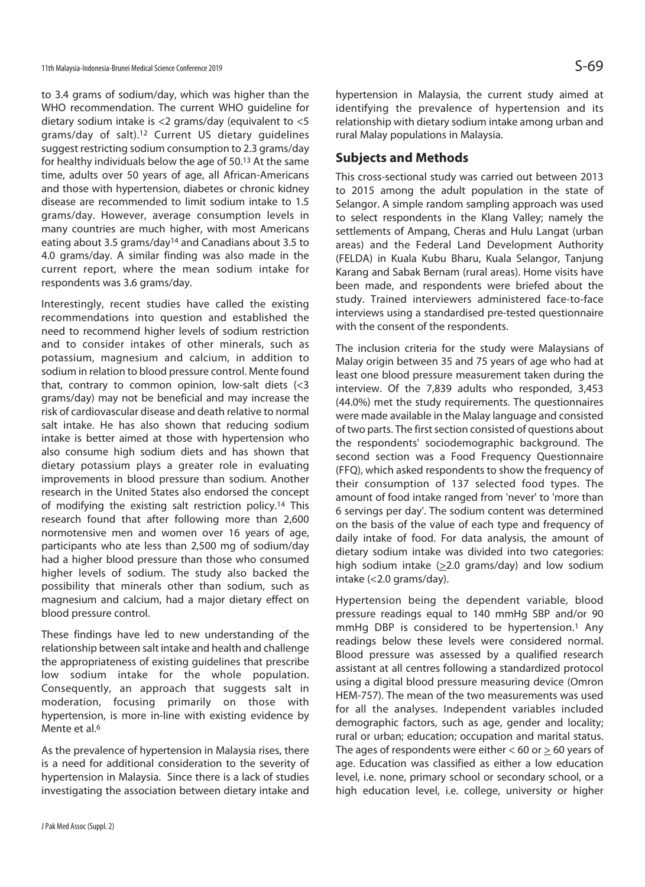to 3.4 grams of sodium/day, which was higher than the WHO recommendation. The current WHO guideline for dietary sodium intake is <2 grams/day (equivalent to <5 grams/day of salt).12 Current US dietary guidelines suggest restricting sodium consumption to 2.3 grams/day for healthy individuals below the age of 50.13 At the same time, adults over 50 years of age, all African-Americans and those with hypertension, diabetes or chronic kidney disease are recommended to limit sodium intake to 1.5 grams/day. However, average consumption levels in many countries are much higher, with most Americans eating about 3.5 grams/day14 and Canadians about 3.5 to 4.0 grams/day. A similar finding was also made in the current report, where the mean sodium intake for respondents was 3.6 grams/day.

Interestingly, recent studies have called the existing recommendations into question and established the need to recommend higher levels of sodium restriction and to consider intakes of other minerals, such as potassium, magnesium and calcium, in addition to sodium in relation to blood pressure control. Mente found that, contrary to common opinion, low-salt diets (<3 grams/day) may not be beneficial and may increase the risk of cardiovascular disease and death relative to normal salt intake. He has also shown that reducing sodium intake is better aimed at those with hypertension who also consume high sodium diets and has shown that dietary potassium plays a greater role in evaluating improvements in blood pressure than sodium. Another research in the United States also endorsed the concept of modifying the existing salt restriction policy.14 This research found that after following more than 2,600 normotensive men and women over 16 years of age, participants who ate less than 2,500 mg of sodium/day had a higher blood pressure than those who consumed higher levels of sodium. The study also backed the possibility that minerals other than sodium, such as magnesium and calcium, had a major dietary effect on blood pressure control.

These findings have led to new understanding of the relationship between salt intake and health and challenge the appropriateness of existing guidelines that prescribe low sodium intake for the whole population. Consequently, an approach that suggests salt in moderation, focusing primarily on those with hypertension, is more in-line with existing evidence by Mente et al.<sup>6</sup>

As the prevalence of hypertension in Malaysia rises, there is a need for additional consideration to the severity of hypertension in Malaysia. Since there is a lack of studies investigating the association between dietary intake and

hypertension in Malaysia, the current study aimed at identifying the prevalence of hypertension and its relationship with dietary sodium intake among urban and rural Malay populations in Malaysia.

### **Subjects and Methods**

This cross-sectional study was carried out between 2013 to 2015 among the adult population in the state of Selangor. A simple random sampling approach was used to select respondents in the Klang Valley; namely the settlements of Ampang, Cheras and Hulu Langat (urban areas) and the Federal Land Development Authority (FELDA) in Kuala Kubu Bharu, Kuala Selangor, Tanjung Karang and Sabak Bernam (rural areas). Home visits have been made, and respondents were briefed about the study. Trained interviewers administered face-to-face interviews using a standardised pre-tested questionnaire with the consent of the respondents.

The inclusion criteria for the study were Malaysians of Malay origin between 35 and 75 years of age who had at least one blood pressure measurement taken during the interview. Of the 7,839 adults who responded, 3,453 (44.0%) met the study requirements. The questionnaires were made available in the Malay language and consisted of two parts. The first section consisted of questions about the respondents' sociodemographic background. The second section was a Food Frequency Questionnaire (FFQ), which asked respondents to show the frequency of their consumption of 137 selected food types. The amount of food intake ranged from 'never' to 'more than 6 servings per day'. The sodium content was determined on the basis of the value of each type and frequency of daily intake of food. For data analysis, the amount of dietary sodium intake was divided into two categories: high sodium intake  $(≥2.0$  grams/day) and low sodium intake (<2.0 grams/day).

Hypertension being the dependent variable, blood pressure readings equal to 140 mmHg SBP and/or 90 mmHg DBP is considered to be hypertension.<sup>1</sup> Any readings below these levels were considered normal. Blood pressure was assessed by a qualified research assistant at all centres following a standardized protocol using a digital blood pressure measuring device (Omron HEM-757). The mean of the two measurements was used for all the analyses. Independent variables included demographic factors, such as age, gender and locality; rural or urban; education; occupation and marital status. The ages of respondents were either  $<$  60 or  $\geq$  60 years of age. Education was classified as either a low education level, i.e. none, primary school or secondary school, or a high education level, i.e. college, university or higher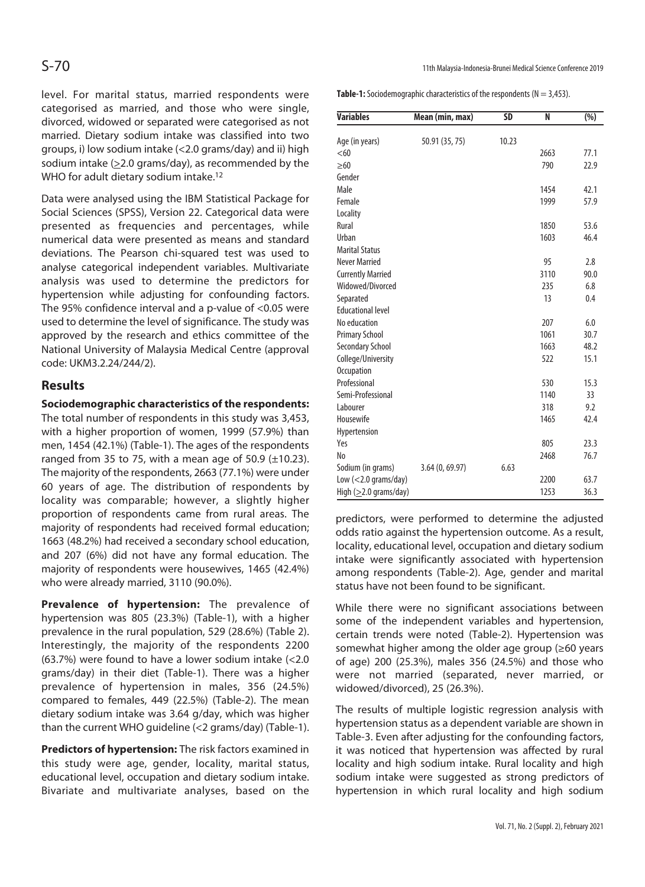level. For marital status, married respondents were categorised as married, and those who were single, divorced, widowed or separated were categorised as not married. Dietary sodium intake was classified into two groups, i) low sodium intake (<2.0 grams/day) and ii) high sodium intake  $(>=2.0 \text{ grams/day})$ , as recommended by the WHO for adult dietary sodium intake.<sup>12</sup>

Data were analysed using the IBM Statistical Package for Social Sciences (SPSS), Version 22. Categorical data were presented as frequencies and percentages, while numerical data were presented as means and standard deviations. The Pearson chi-squared test was used to analyse categorical independent variables. Multivariate analysis was used to determine the predictors for hypertension while adjusting for confounding factors. The 95% confidence interval and a p-value of <0.05 were used to determine the level of significance. The study was approved by the research and ethics committee of the National University of Malaysia Medical Centre (approval code: UKM3.2.24/244/2).

### **Results**

**Sociodemographic characteristics of the respondents:** 

The total number of respondents in this study was 3,453, with a higher proportion of women, 1999 (57.9%) than men, 1454 (42.1%) (Table-1). The ages of the respondents ranged from 35 to 75, with a mean age of 50.9  $(\pm 10.23)$ . The majority of the respondents, 2663 (77.1%) were under 60 years of age. The distribution of respondents by locality was comparable; however, a slightly higher proportion of respondents came from rural areas. The majority of respondents had received formal education; 1663 (48.2%) had received a secondary school education, and 207 (6%) did not have any formal education. The majority of respondents were housewives, 1465 (42.4%) who were already married, 3110 (90.0%).

**Prevalence of hypertension:** The prevalence of hypertension was 805 (23.3%) (Table-1), with a higher prevalence in the rural population, 529 (28.6%) (Table 2). Interestingly, the majority of the respondents 2200 (63.7%) were found to have a lower sodium intake (<2.0 grams/day) in their diet (Table-1). There was a higher prevalence of hypertension in males, 356 (24.5%) compared to females, 449 (22.5%) (Table-2). The mean dietary sodium intake was 3.64 g/day, which was higher than the current WHO guideline (<2 grams/day) (Table-1).

**Predictors of hypertension:** The risk factors examined in this study were age, gender, locality, marital status, educational level, occupation and dietary sodium intake. Bivariate and multivariate analyses, based on the

**Table-1:** Sociodemographic characteristics of the respondents (N = 3,453).

| <b>Variables</b>         | Mean (min, max) | <b>SD</b> | N    | $\overline{(%)}$ |
|--------------------------|-----------------|-----------|------|------------------|
|                          |                 | 10.23     |      |                  |
| Age (in years)<br><60    | 50.91 (35, 75)  |           | 2663 | 77.1             |
| $>60$                    |                 |           | 790  | 22.9             |
| Gender                   |                 |           |      |                  |
| Male                     |                 |           | 1454 | 42.1             |
|                          |                 |           |      | 57.9             |
| Female                   |                 |           | 1999 |                  |
| Locality                 |                 |           |      |                  |
| Rural                    |                 |           | 1850 | 53.6             |
| Urban                    |                 |           | 1603 | 46.4             |
| <b>Marital Status</b>    |                 |           |      |                  |
| <b>Never Married</b>     |                 |           | 95   | 2.8              |
| <b>Currently Married</b> |                 |           | 3110 | 90.0             |
| Widowed/Divorced         |                 |           | 235  | 6.8              |
| Separated                |                 |           | 13   | 0.4              |
| <b>Educational level</b> |                 |           |      |                  |
| No education             |                 |           | 207  | 6.0              |
| <b>Primary School</b>    |                 |           | 1061 | 30.7             |
| <b>Secondary School</b>  |                 |           | 1663 | 48.2             |
| College/University       |                 |           | 522  | 15.1             |
| <b>Occupation</b>        |                 |           |      |                  |
| Professional             |                 |           | 530  | 15.3             |
| Semi-Professional        |                 |           | 1140 | 33               |
| Labourer                 |                 |           | 318  | 9.2              |
| Housewife                |                 |           | 1465 | 42.4             |
| Hypertension             |                 |           |      |                  |
| Yes                      |                 |           | 805  | 23.3             |
| No                       |                 |           | 2468 | 76.7             |
| Sodium (in grams)        | 3.64(0, 69.97)  | 6.63      |      |                  |
| Low $(<$ 2.0 grams/day)  |                 |           | 2200 | 63.7             |
| High $(≥2.0$ grams/day)  |                 |           | 1253 | 36.3             |

predictors, were performed to determine the adjusted odds ratio against the hypertension outcome. As a result, locality, educational level, occupation and dietary sodium intake were significantly associated with hypertension among respondents (Table-2). Age, gender and marital status have not been found to be significant.

While there were no significant associations between some of the independent variables and hypertension, certain trends were noted (Table-2). Hypertension was somewhat higher among the older age group (≥60 years of age) 200 (25.3%), males 356 (24.5%) and those who were not married (separated, never married, or widowed/divorced), 25 (26.3%).

The results of multiple logistic regression analysis with hypertension status as a dependent variable are shown in Table-3. Even after adjusting for the confounding factors, it was noticed that hypertension was affected by rural locality and high sodium intake. Rural locality and high sodium intake were suggested as strong predictors of hypertension in which rural locality and high sodium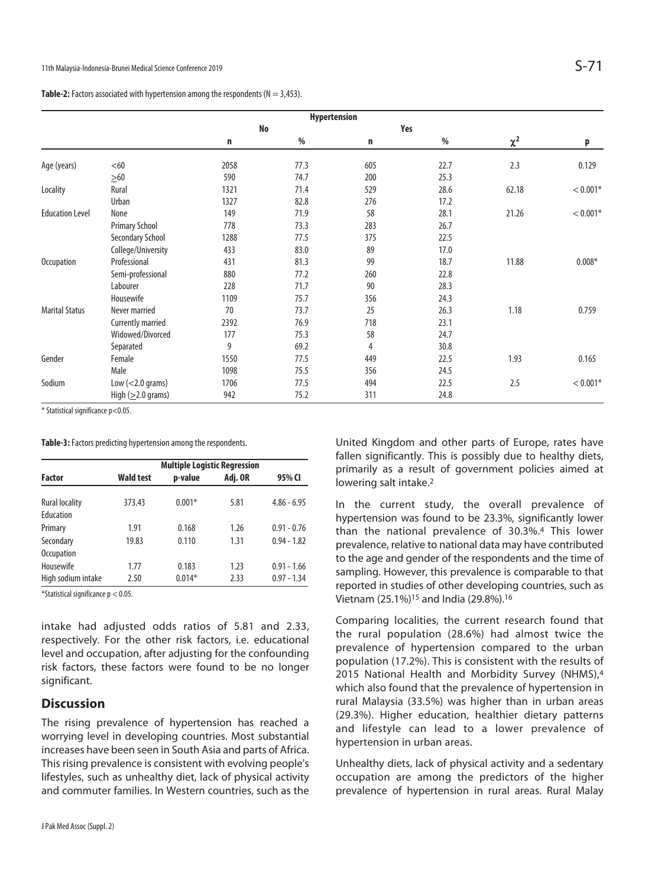| Table-2: Factors associated with hypertension among the respondents ( $N = 3,453$ ). |  |  |  |  |
|--------------------------------------------------------------------------------------|--|--|--|--|
|--------------------------------------------------------------------------------------|--|--|--|--|

|                        |                          |           | <b>Hypertension</b> |     |      |          |            |
|------------------------|--------------------------|-----------|---------------------|-----|------|----------|------------|
|                        |                          | <b>No</b> |                     | Yes |      |          |            |
|                        |                          | n         | %                   | n   | %    | $\chi^2$ | p          |
| Age (years)            | < 60                     | 2058      | 77.3                | 605 | 22.7 | 2.3      | 0.129      |
|                        | $\geq 60$                | 590       | 74.7                | 200 | 25.3 |          |            |
| Locality               | Rural                    | 1321      | 71.4                | 529 | 28.6 | 62.18    | $< 0.001*$ |
|                        | Urban                    | 1327      | 82.8                | 276 | 17.2 |          |            |
| <b>Education Level</b> | None                     | 149       | 71.9                | 58  | 28.1 | 21.26    | $< 0.001*$ |
|                        | <b>Primary School</b>    | 778       | 73.3                | 283 | 26.7 |          |            |
|                        | Secondary School         | 1288      | 77.5                | 375 | 22.5 |          |            |
|                        | College/University       | 433       | 83.0                | 89  | 17.0 |          |            |
| Occupation             | Professional             | 431       | 81.3                | 99  | 18.7 | 11.88    | $0.008*$   |
|                        | Semi-professional        | 880       | 77.2                | 260 | 22.8 |          |            |
|                        | Labourer                 | 228       | 71.7                | 90  | 28.3 |          |            |
|                        | Housewife                | 1109      | 75.7                | 356 | 24.3 |          |            |
| <b>Marital Status</b>  | Never married            | 70        | 73.7                | 25  | 26.3 | 1.18     | 0.759      |
|                        | Currently married        | 2392      | 76.9                | 718 | 23.1 |          |            |
|                        | Widowed/Divorced         | 177       | 75.3                | 58  | 24.7 |          |            |
|                        | Separated                | 9         | 69.2                | 4   | 30.8 |          |            |
| Gender                 | Female                   | 1550      | 77.5                | 449 | 22.5 | 1.93     | 0.165      |
|                        | Male                     | 1098      | 75.5                | 356 | 24.5 |          |            |
| Sodium                 | Low $(<$ 2.0 grams)      | 1706      | 77.5                | 494 | 22.5 | 2.5      | $< 0.001*$ |
|                        | High ( $\geq$ 2.0 grams) | 942       | 75.2                | 311 | 24.8 |          |            |

\* Statistical significance p<0.05.

**Table-3:** Factors predicting hypertension among the respondents.

|                       |                  | <b>Multiple Logistic Regression</b> |         |               |  |
|-----------------------|------------------|-------------------------------------|---------|---------------|--|
| <b>Factor</b>         | <b>Wald test</b> | p-value                             | Adj. OR | 95% CI        |  |
| <b>Rural locality</b> | 373.43           | $0.001*$                            | 5.81    | $4.86 - 6.95$ |  |
| Education             |                  |                                     |         |               |  |
| Primary               | 1.91             | 0.168                               | 1.26    | $0.91 - 0.76$ |  |
| Secondary             | 19.83            | 0.110                               | 1.31    | $0.94 - 1.82$ |  |
| <b>Occupation</b>     |                  |                                     |         |               |  |
| Housewife             | 1.77             | 0.183                               | 1.23    | $0.91 - 1.66$ |  |
| High sodium intake    | 2.50             | $0.014*$                            | 2.33    | $0.97 - 1.34$ |  |

\*Statistical significance p < 0.05.

intake had adjusted odds ratios of 5.81 and 2.33, respectively. For the other risk factors, i.e. educational level and occupation, after adjusting for the confounding risk factors, these factors were found to be no longer significant.

#### **Discussion**

The rising prevalence of hypertension has reached a worrying level in developing countries. Most substantial increases have been seen in South Asia and parts of Africa. This rising prevalence is consistent with evolving people's lifestyles, such as unhealthy diet, lack of physical activity and commuter families. In Western countries, such as the

United Kingdom and other parts of Europe, rates have fallen significantly. This is possibly due to healthy diets, primarily as a result of government policies aimed at lowering salt intake.2

In the current study, the overall prevalence of hypertension was found to be 23.3%, significantly lower than the national prevalence of 30.3%.4 This lower prevalence, relative to national data may have contributed to the age and gender of the respondents and the time of sampling. However, this prevalence is comparable to that reported in studies of other developing countries, such as Vietnam (25.1%)15 and India (29.8%).16

Comparing localities, the current research found that the rural population (28.6%) had almost twice the prevalence of hypertension compared to the urban population (17.2%). This is consistent with the results of 2015 National Health and Morbidity Survey (NHMS),4 which also found that the prevalence of hypertension in rural Malaysia (33.5%) was higher than in urban areas (29.3%). Higher education, healthier dietary patterns and lifestyle can lead to a lower prevalence of hypertension in urban areas.

Unhealthy diets, lack of physical activity and a sedentary occupation are among the predictors of the higher prevalence of hypertension in rural areas. Rural Malay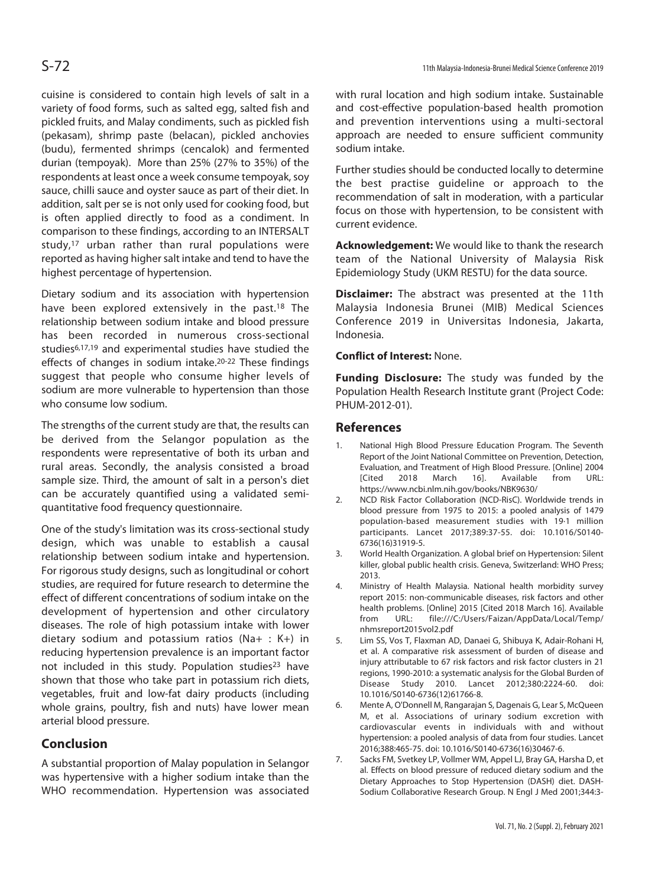cuisine is considered to contain high levels of salt in a variety of food forms, such as salted egg, salted fish and pickled fruits, and Malay condiments, such as pickled fish (pekasam), shrimp paste (belacan), pickled anchovies (budu), fermented shrimps (cencalok) and fermented durian (tempoyak). More than 25% (27% to 35%) of the respondents at least once a week consume tempoyak, soy sauce, chilli sauce and oyster sauce as part of their diet. In addition, salt per se is not only used for cooking food, but is often applied directly to food as a condiment. In comparison to these findings, according to an INTERSALT study,<sup>17</sup> urban rather than rural populations were reported as having higher salt intake and tend to have the highest percentage of hypertension.

Dietary sodium and its association with hypertension have been explored extensively in the past.<sup>18</sup> The relationship between sodium intake and blood pressure has been recorded in numerous cross-sectional studies6,17,19 and experimental studies have studied the effects of changes in sodium intake.20-22 These findings suggest that people who consume higher levels of sodium are more vulnerable to hypertension than those who consume low sodium.

The strengths of the current study are that, the results can be derived from the Selangor population as the respondents were representative of both its urban and rural areas. Secondly, the analysis consisted a broad sample size. Third, the amount of salt in a person's diet can be accurately quantified using a validated semiquantitative food frequency questionnaire.

One of the study's limitation was its cross-sectional study design, which was unable to establish a causal relationship between sodium intake and hypertension. For rigorous study designs, such as longitudinal or cohort studies, are required for future research to determine the effect of different concentrations of sodium intake on the development of hypertension and other circulatory diseases. The role of high potassium intake with lower dietary sodium and potassium ratios (Na+ : K+) in reducing hypertension prevalence is an important factor not included in this study. Population studies<sup>23</sup> have shown that those who take part in potassium rich diets, vegetables, fruit and low-fat dairy products (including whole grains, poultry, fish and nuts) have lower mean arterial blood pressure.

## **Conclusion**

A substantial proportion of Malay population in Selangor was hypertensive with a higher sodium intake than the WHO recommendation. Hypertension was associated

with rural location and high sodium intake. Sustainable and cost-effective population-based health promotion and prevention interventions using a multi-sectoral approach are needed to ensure sufficient community sodium intake.

Further studies should be conducted locally to determine the best practise guideline or approach to the recommendation of salt in moderation, with a particular focus on those with hypertension, to be consistent with current evidence.

**Acknowledgement:** We would like to thank the research team of the National University of Malaysia Risk Epidemiology Study (UKM RESTU) for the data source.

**Disclaimer:** The abstract was presented at the 11th Malaysia Indonesia Brunei (MIB) Medical Sciences Conference 2019 in Universitas Indonesia, Jakarta, Indonesia.

### **Conflict of Interest:** None.

**Funding Disclosure:** The study was funded by the Population Health Research Institute grant (Project Code: PHUM-2012-01).

### **References**

- 1. National High Blood Pressure Education Program. The Seventh Report of the Joint National Committee on Prevention, Detection, Evaluation, and Treatment of High Blood Pressure. [Online] 2004 [Cited 2018 March 16]. Available from URL: https://www.ncbi.nlm.nih.gov/books/NBK9630/
- 2. NCD Risk Factor Collaboration (NCD-RisC). Worldwide trends in blood pressure from 1975 to 2015: a pooled analysis of 1479 population-based measurement studies with 19·1 million participants. Lancet 2017;389:37-55. doi: 10.1016/S0140- 6736(16)31919-5.
- 3. World Health Organization. A global brief on Hypertension: Silent killer, global public health crisis. Geneva, Switzerland: WHO Press; 2013.
- 4. Ministry of Health Malaysia. National health morbidity survey report 2015: non-communicable diseases, risk factors and other health problems. [Online] 2015 [Cited 2018 March 16]. Available from URL: file:///C:/Users/Faizan/AppData/Local/Temp/ nhmsreport2015vol2.pdf
- 5. Lim SS, Vos T, Flaxman AD, Danaei G, Shibuya K, Adair-Rohani H, et al. A comparative risk assessment of burden of disease and injury attributable to 67 risk factors and risk factor clusters in 21 regions, 1990-2010: a systematic analysis for the Global Burden of Disease Study 2010. Lancet 2012;380:2224-60. doi: 10.1016/S0140-6736(12)61766-8.
- 6. Mente A, O'Donnell M, Rangarajan S, Dagenais G, Lear S, McQueen M, et al. Associations of urinary sodium excretion with cardiovascular events in individuals with and without hypertension: a pooled analysis of data from four studies. Lancet 2016;388:465-75. doi: 10.1016/S0140-6736(16)30467-6.
- 7. Sacks FM, Svetkey LP, Vollmer WM, Appel LJ, Bray GA, Harsha D, et al. Effects on blood pressure of reduced dietary sodium and the Dietary Approaches to Stop Hypertension (DASH) diet. DASH-Sodium Collaborative Research Group. N Engl J Med 2001;344:3-